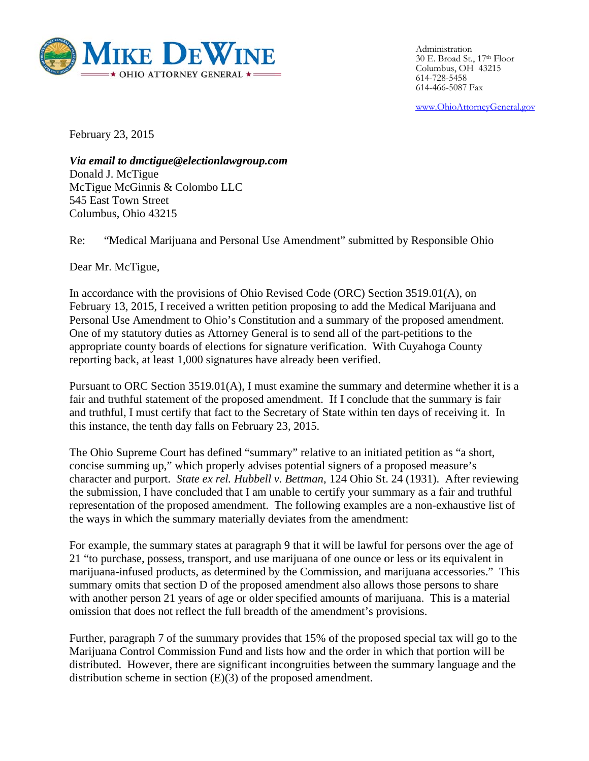

Administration<br>30 E. Broad St., 17<sup>th</sup> Floor Columbus, OH 43215 614-72 28-5458 614-46 66-5087 Fax Administration

www.OhioAttorneyGeneral.gov

February y 23, 2015

Via email to dmctigue@electionlawgroup.com Donald J J. McTigue McTigue McGinnis & Colombo LLC 545 East Town Street Columbus, Ohio 43215

Re: "Medical Marijuana and Personal Use Amendment" submitted by Responsible Ohio

Dear Mr. McTigue,

In accordance with the provisions of Ohio Revised Code (ORC) Section 3519.01(A), on February 13, 2015, I received a written petition proposing to add the Medical Marijuana and February 13, 2015, I received a written petition proposing to add the Medical Marijuana and<br>Personal Use Amendment to Ohio's Constitution and a summary of the proposed amendment. One of my statutory duties as Attorney General is to send all of the part-petitions to the appropriate county boards of elections for signature verification. With Cuyahoga County reporting back, at least 1,000 signatures have already been verified.

Pursuant to ORC Section 3519.01(A), I must examine the summary and determine whether it is a fair and truthful statement of the proposed amendment. If I conclude that the summary is fair and truthful, I must certify that fact to the Secretary of State within ten days of receiving it. In this instance, the tenth day falls on February 23, 2015.

The Ohio Supreme Court has defined "summary" relative to an initiated petition as "a short, concise summing up," which properly advises potential signers of a proposed measure's character and purport. State ex rel. Hubbell v. Bettman, 124 Ohio St. 24 (1931). After reviewing the submission, I have concluded that I am unable to certify your summary as a fair and truthful representation of the proposed amendment. The following examples are a non-exhaustive list of the ways in which the summary materially deviates from the amendment:

For example, the summary states at paragraph 9 that it will be lawful for persons over the age of 21 "to purchase, possess, transport, and use marijuana of one ounce or less or its equivalent in marijuana-infused products, as determined by the Commission, and marijuana accessories." This summary omits that section D of the proposed amendment also allows those persons to share summary omits that section D of the proposed amendment also allows those persons to share<br>with another person 21 years of age or older specified amounts of marijuana. This is a material omission that does not reflect the full breadth of the amendment's provisions.

Further, paragraph 7 of the summary provides that 15% of the proposed special tax will go to the Marijuana Control Commission Fund and lists how and the order in which that portion will be distributed. However, there are significant incongruities between the summary language and the distribution scheme in section  $(E)(3)$  of the proposed amendment.